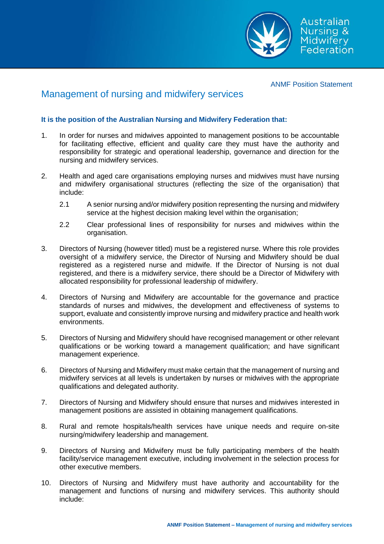

ANMF Position Statement

## Management of nursing and midwifery services

## **It is the position of the Australian Nursing and Midwifery Federation that:**

- 1. In order for nurses and midwives appointed to management positions to be accountable for facilitating effective, efficient and quality care they must have the authority and responsibility for strategic and operational leadership, governance and direction for the nursing and midwifery services.
- 2. Health and aged care organisations employing nurses and midwives must have nursing and midwifery organisational structures (reflecting the size of the organisation) that include:
	- 2.1 A senior nursing and/or midwifery position representing the nursing and midwifery service at the highest decision making level within the organisation;
	- 2.2 Clear professional lines of responsibility for nurses and midwives within the organisation.
- 3. Directors of Nursing (however titled) must be a registered nurse. Where this role provides oversight of a midwifery service, the Director of Nursing and Midwifery should be dual registered as a registered nurse and midwife. If the Director of Nursing is not dual registered, and there is a midwifery service, there should be a Director of Midwifery with allocated responsibility for professional leadership of midwifery.
- 4. Directors of Nursing and Midwifery are accountable for the governance and practice standards of nurses and midwives, the development and effectiveness of systems to support, evaluate and consistently improve nursing and midwifery practice and health work environments.
- 5. Directors of Nursing and Midwifery should have recognised management or other relevant qualifications or be working toward a management qualification; and have significant management experience.
- 6. Directors of Nursing and Midwifery must make certain that the management of nursing and midwifery services at all levels is undertaken by nurses or midwives with the appropriate qualifications and delegated authority.
- 7. Directors of Nursing and Midwifery should ensure that nurses and midwives interested in management positions are assisted in obtaining management qualifications.
- 8. Rural and remote hospitals/health services have unique needs and require on-site nursing/midwifery leadership and management.
- 9. Directors of Nursing and Midwifery must be fully participating members of the health facility/service management executive, including involvement in the selection process for other executive members.
- 10. Directors of Nursing and Midwifery must have authority and accountability for the management and functions of nursing and midwifery services. This authority should include: